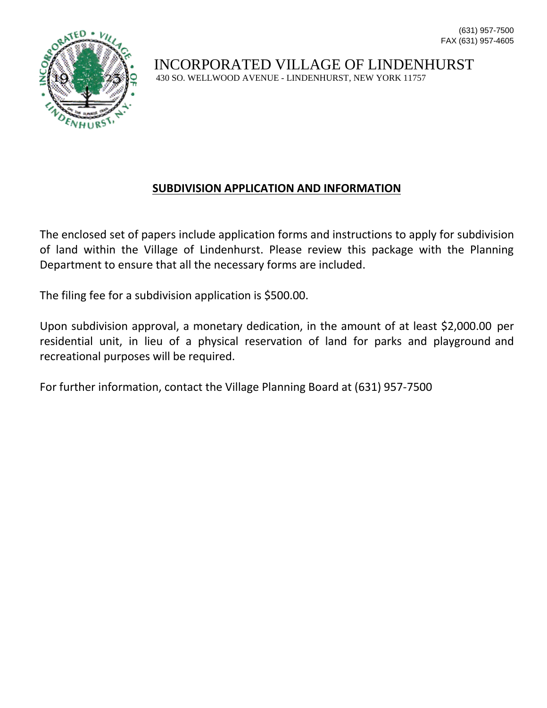

### **SUBDIVISION APPLICATION AND INFORMATION**

The enclosed set of papers include application forms and instructions to apply for subdivision of land within the Village of Lindenhurst. Please review this package with the Planning Department to ensure that all the necessary forms are included.

The filing fee for a subdivision application is \$500.00.

Upon subdivision approval, a monetary dedication, in the amount of at least \$2,000.00 per residential unit, in lieu of a physical reservation of land for parks and playground and recreational purposes will be required.

For further information, contact the Village Planning Board at (631) 957-7500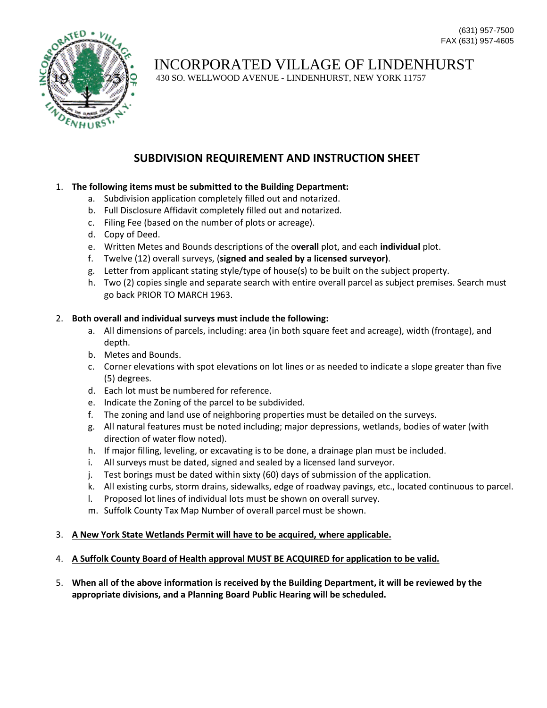

# INCORPORATED VILLAGE OF LINDENHURST

430 SO. WELLWOOD AVENUE - LINDENHURST, NEW YORK 11757

## **SUBDIVISION REQUIREMENT AND INSTRUCTION SHEET**

#### 1. **The following items must be submitted to the Building Department:**

- a. Subdivision application completely filled out and notarized.
- b. Full Disclosure Affidavit completely filled out and notarized.
- c. Filing Fee (based on the number of plots or acreage).
- d. Copy of Deed.
- e. Written Metes and Bounds descriptions of the o**verall** plot, and each **individual** plot.
- f. Twelve (12) overall surveys, (**signed and sealed by a licensed surveyor)**.
- g. Letter from applicant stating style/type of house(s) to be built on the subject property.
- h. Two (2) copies single and separate search with entire overall parcel as subject premises. Search must go back PRIOR TO MARCH 1963.

#### 2. **Both overall and individual surveys must include the following:**

- a. All dimensions of parcels, including: area (in both square feet and acreage), width (frontage), and depth.
- b. Metes and Bounds.
- c. Corner elevations with spot elevations on lot lines or as needed to indicate a slope greater than five (5) degrees.
- d. Each lot must be numbered for reference.
- e. Indicate the Zoning of the parcel to be subdivided.
- f. The zoning and land use of neighboring properties must be detailed on the surveys.
- g. All natural features must be noted including; major depressions, wetlands, bodies of water (with direction of water flow noted).
- h. If major filling, leveling, or excavating is to be done, a drainage plan must be included.
- i. All surveys must be dated, signed and sealed by a licensed land surveyor.
- j. Test borings must be dated within sixty (60) days of submission of the application.
- k. All existing curbs, storm drains, sidewalks, edge of roadway pavings, etc., located continuous to parcel.
- l. Proposed lot lines of individual lots must be shown on overall survey.
- m. Suffolk County Tax Map Number of overall parcel must be shown.

#### 3. **A New York State Wetlands Permit will have to be acquired, where applicable.**

#### 4. **A Suffolk County Board of Health approval MUST BE ACQUIRED for application to be valid.**

5. **When all of the above information is received by the Building Department, it will be reviewed by the appropriate divisions, and a Planning Board Public Hearing will be scheduled.**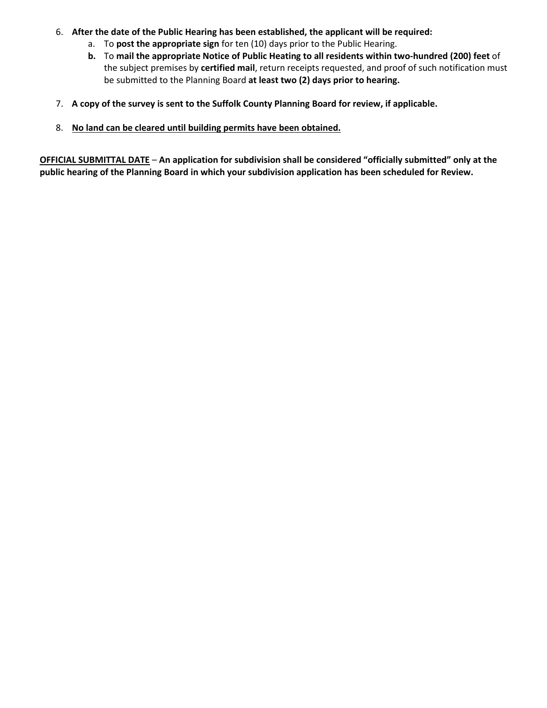- 6. **After the date of the Public Hearing has been established, the applicant will be required:**
	- a. To **post the appropriate sign** for ten (10) days prior to the Public Hearing.
	- **b.** To **mail the appropriate Notice of Public Heating to all residents within two-hundred (200) feet** of the subject premises by **certified mail**, return receipts requested, and proof of such notification must be submitted to the Planning Board **at least two (2) days prior to hearing.**
- 7. **A copy of the survey is sent to the Suffolk County Planning Board for review, if applicable.**
- 8. **No land can be cleared until building permits have been obtained.**

**OFFICIAL SUBMITTAL DATE** – **An application for subdivision shall be considered "officially submitted" only at the public hearing of the Planning Board in which your subdivision application has been scheduled for Review.**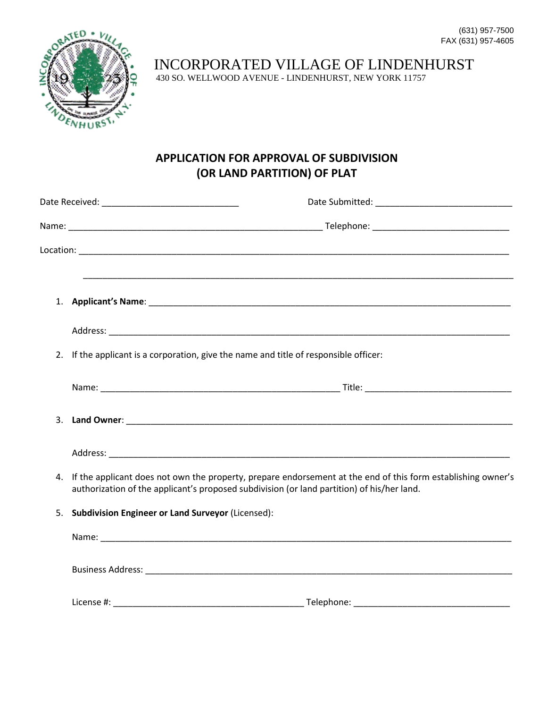

INCORPORATED VILLAGE OF LINDENHURST

430 SO. WELLWOOD AVENUE - LINDENHURST, NEW YORK 11757

## **APPLICATION FOR APPROVAL OF SUBDIVISION (OR LAND PARTITION) OF PLAT**

|    | 2. If the applicant is a corporation, give the name and title of responsible officer: |                                                                                                                                                                                                            |
|----|---------------------------------------------------------------------------------------|------------------------------------------------------------------------------------------------------------------------------------------------------------------------------------------------------------|
|    |                                                                                       |                                                                                                                                                                                                            |
|    |                                                                                       |                                                                                                                                                                                                            |
|    |                                                                                       |                                                                                                                                                                                                            |
| 4. |                                                                                       | If the applicant does not own the property, prepare endorsement at the end of this form establishing owner's<br>authorization of the applicant's proposed subdivision (or land partition) of his/her land. |
| 5. | <b>Subdivision Engineer or Land Surveyor (Licensed):</b>                              |                                                                                                                                                                                                            |
|    |                                                                                       |                                                                                                                                                                                                            |
|    |                                                                                       |                                                                                                                                                                                                            |
|    |                                                                                       | _Telephone: ________________________________                                                                                                                                                               |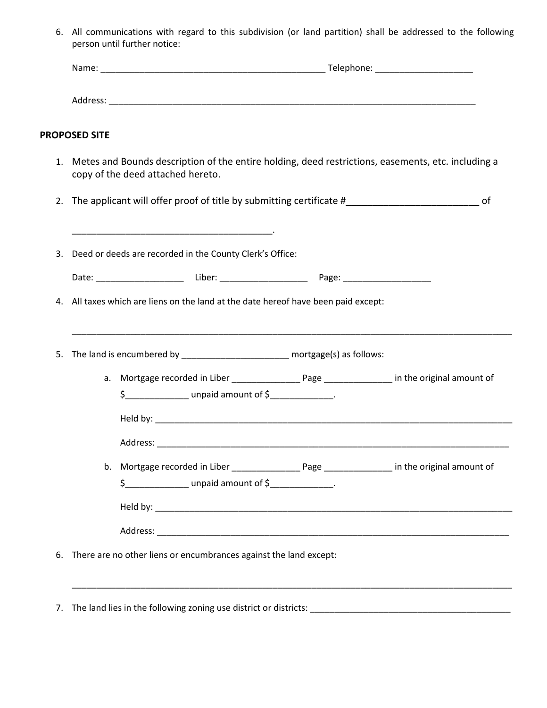6. All communications with regard to this subdivision (or land partition) shall be addressed to the following person until further notice:

| <b>PROPOSED SITE</b> |                                                                                                                                                                                     |  |
|----------------------|-------------------------------------------------------------------------------------------------------------------------------------------------------------------------------------|--|
|                      | 1. Metes and Bounds description of the entire holding, deed restrictions, easements, etc. including a<br>copy of the deed attached hereto.                                          |  |
|                      | 2. The applicant will offer proof of title by submitting certificate #______________________________ of                                                                             |  |
|                      | <u> 1989 - Johann John Harry Harry Harry Harry Harry Harry Harry Harry Harry Harry Harry Harry Harry Harry Harry</u><br>3. Deed or deeds are recorded in the County Clerk's Office: |  |
|                      |                                                                                                                                                                                     |  |
|                      | 4. All taxes which are liens on the land at the date hereof have been paid except:<br>5. The land is encumbered by _______________________ mortgage(s) as follows:                  |  |
|                      |                                                                                                                                                                                     |  |
|                      | \$______________________ unpaid amount of \$________________.                                                                                                                       |  |
|                      |                                                                                                                                                                                     |  |
|                      |                                                                                                                                                                                     |  |
|                      | $$$ ______________________ unpaid amount of $$$ _______________.                                                                                                                    |  |
|                      |                                                                                                                                                                                     |  |
|                      |                                                                                                                                                                                     |  |
|                      | 6. There are no other liens or encumbrances against the land except:                                                                                                                |  |
|                      |                                                                                                                                                                                     |  |

7. The land lies in the following zoning use district or districts: \_\_\_\_\_\_\_\_\_\_\_\_\_\_\_\_\_\_\_\_\_\_\_\_\_\_\_\_\_\_\_\_\_\_\_\_\_\_\_\_\_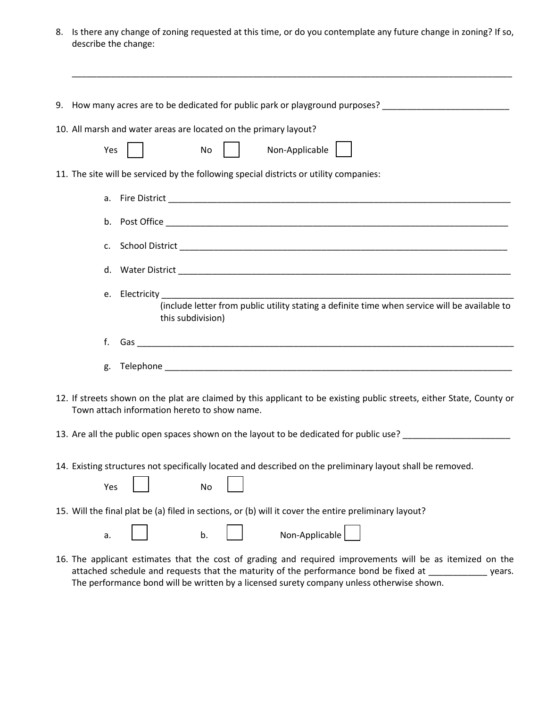8. Is there any change of zoning requested at this time, or do you contemplate any future change in zoning? If so, describe the change:

| 9. How many acres are to be dedicated for public park or playground purposes? ______________________                                                                                                                                                                                   |        |
|----------------------------------------------------------------------------------------------------------------------------------------------------------------------------------------------------------------------------------------------------------------------------------------|--------|
| 10. All marsh and water areas are located on the primary layout?                                                                                                                                                                                                                       |        |
| Non-Applicable  <br>Yes<br>No                                                                                                                                                                                                                                                          |        |
| 11. The site will be serviced by the following special districts or utility companies:                                                                                                                                                                                                 |        |
|                                                                                                                                                                                                                                                                                        |        |
|                                                                                                                                                                                                                                                                                        |        |
| C.                                                                                                                                                                                                                                                                                     |        |
|                                                                                                                                                                                                                                                                                        |        |
| e.<br>(include letter from public utility stating a definite time when service will be available to<br>this subdivision)                                                                                                                                                               |        |
| f.                                                                                                                                                                                                                                                                                     |        |
| g.                                                                                                                                                                                                                                                                                     |        |
| 12. If streets shown on the plat are claimed by this applicant to be existing public streets, either State, County or<br>Town attach information hereto to show name.<br>13. Are all the public open spaces shown on the layout to be dedicated for public use? ______________________ |        |
|                                                                                                                                                                                                                                                                                        |        |
| 14. Existing structures not specifically located and described on the preliminary layout shall be removed.<br>Yes<br>No                                                                                                                                                                |        |
| 15. Will the final plat be (a) filed in sections, or (b) will it cover the entire preliminary layout?                                                                                                                                                                                  |        |
| Non-Applicable<br>b.<br>a.                                                                                                                                                                                                                                                             |        |
| 16. The applicant estimates that the cost of grading and required improvements will be as itemized on the<br>attached schedule and requests that the maturity of the performance bond be fixed at _                                                                                    | years. |

The performance bond will be written by a licensed surety company unless otherwise shown.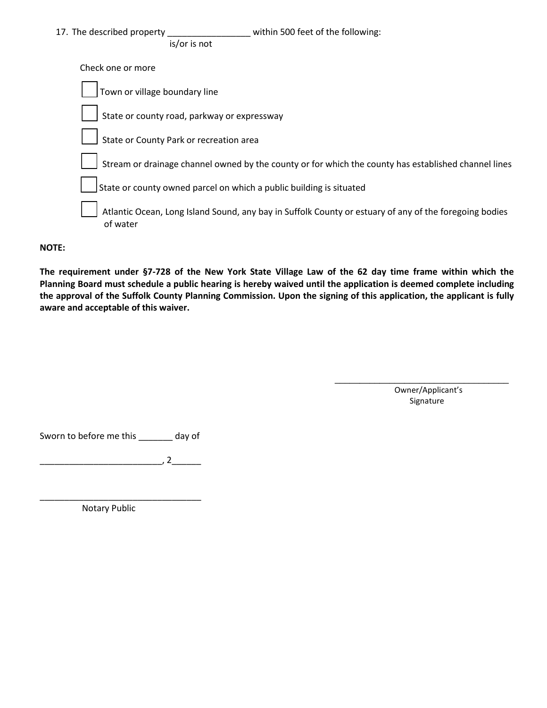| 17. The described property<br>within 500 feet of the following:<br>is/or is not                                    |
|--------------------------------------------------------------------------------------------------------------------|
| Check one or more                                                                                                  |
| Town or village boundary line                                                                                      |
| State or county road, parkway or expressway                                                                        |
| State or County Park or recreation area                                                                            |
| Stream or drainage channel owned by the county or for which the county has established channel lines               |
| State or county owned parcel on which a public building is situated                                                |
| Atlantic Ocean, Long Island Sound, any bay in Suffolk County or estuary of any of the foregoing bodies<br>of water |

#### **NOTE:**

**The requirement under §7-728 of the New York State Village Law of the 62 day time frame within which the Planning Board must schedule a public hearing is hereby waived until the application is deemed complete including the approval of the Suffolk County Planning Commission. Upon the signing of this application, the applicant is fully aware and acceptable of this waiver.** 

> Owner/Applicant's Signature

 $\overline{\phantom{a}}$  , and the set of the set of the set of the set of the set of the set of the set of the set of the set of the set of the set of the set of the set of the set of the set of the set of the set of the set of the s

Sworn to before me this \_\_\_\_\_\_\_ day of

\_\_\_\_\_\_\_\_\_\_\_\_\_\_\_\_\_\_\_\_\_\_\_\_\_, 2\_\_\_\_\_\_

\_\_\_\_\_\_\_\_\_\_\_\_\_\_\_\_\_\_\_\_\_\_\_\_\_\_\_\_\_\_\_\_\_

Notary Public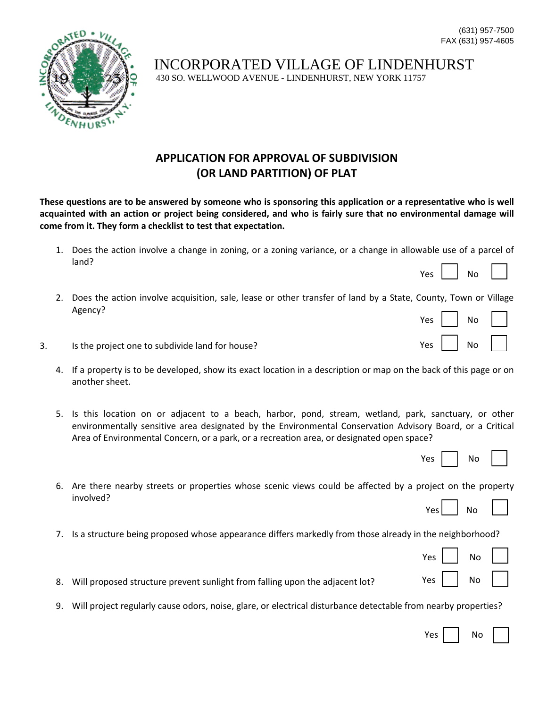

## **APPLICATION FOR APPROVAL OF SUBDIVISION (OR LAND PARTITION) OF PLAT**

**These questions are to be answered by someone who is sponsoring this application or a representative who is well acquainted with an action or project being considered, and who is fairly sure that no environmental damage will come from it. They form a checklist to test that expectation.**

- 1. Does the action involve a change in zoning, or a zoning variance, or a change in allowable use of a parcel of land?
- 2. Does the action involve acquisition, sale, lease or other transfer of land by a State, County, Town or Village Agency?
- 3. Is the project one to subdivide land for house?
	- 4. If a property is to be developed, show its exact location in a description or map on the back of this page or on another sheet.
	- 5. Is this location on or adjacent to a beach, harbor, pond, stream, wetland, park, sanctuary, or other environmentally sensitive area designated by the Environmental Conservation Advisory Board, or a Critical Area of Environmental Concern, or a park, or a recreation area, or designated open space?

| Υρς |  | No |  |  |
|-----|--|----|--|--|
|-----|--|----|--|--|

Yes  $\vert$   $\vert$  No

Yes  $|$   $|$  No

Yes

- 6. Are there nearby streets or properties whose scenic views could be affected by a project on the property involved?
	- $N<sub>0</sub>$
- 7. Is a structure being proposed whose appearance differs markedly from those already in the neighborhood?

| Yes | No |  |
|-----|----|--|
| Yes | No |  |

- 8. Will proposed structure prevent sunlight from falling upon the adjacent lot?
- 9. Will project regularly cause odors, noise, glare, or electrical disturbance detectable from nearby properties?

| Υρς |  | N٥ |  |
|-----|--|----|--|
|-----|--|----|--|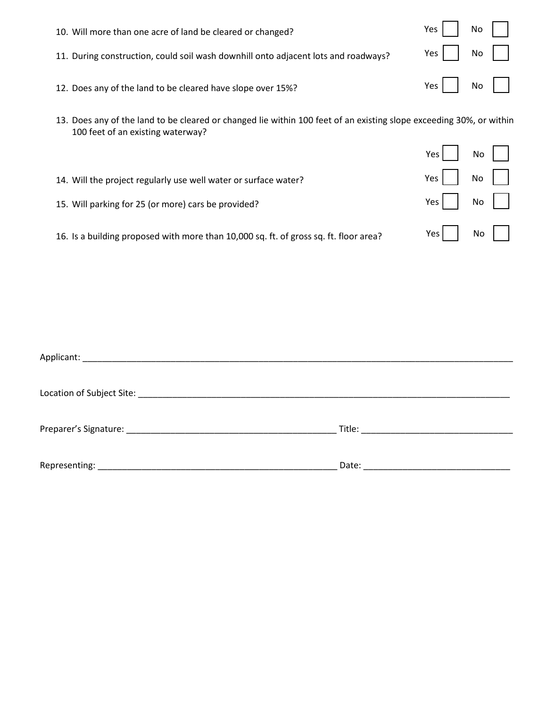| 10. Will more than one acre of land be cleared or changed?                         | $Yes$ $\vert$ No $\vert$ $\vert$ |
|------------------------------------------------------------------------------------|----------------------------------|
| 11. During construction, could soil wash downhill onto adjacent lots and roadways? | $Yes \mid \mid No \mid \mid$     |
| 12. Does any of the land to be cleared have slope over 15%?                        |                                  |
|                                                                                    |                                  |

13. Does any of the land to be cleared or changed lie within 100 feet of an existing slope exceeding 30%, or within 100 feet of an existing waterway?

|                                                                                       | Yes   | No I |
|---------------------------------------------------------------------------------------|-------|------|
| 14. Will the project regularly use well water or surface water?                       | $Yes$ | No   |
| 15. Will parking for 25 (or more) cars be provided?                                   | $Yes$ | No   |
| 16. Is a building proposed with more than 10,000 sq. ft. of gross sq. ft. floor area? | $Yes$ | No   |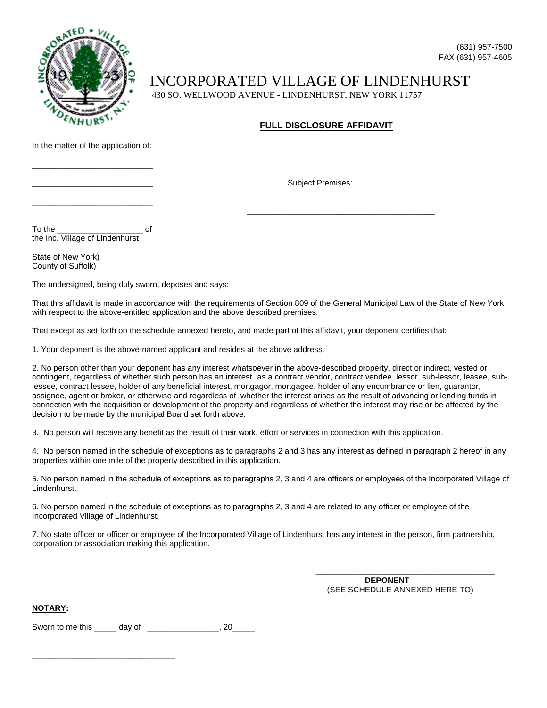

#### **FULL DISCLOSURE AFFIDAVIT**

Subject Premises:

 $\overline{\phantom{a}}$  , and the contract of the contract of the contract of the contract of the contract of the contract of the contract of the contract of the contract of the contract of the contract of the contract of the contrac

In the matter of the application of:

\_\_\_\_\_\_\_\_\_\_\_\_\_\_\_\_\_\_\_\_\_\_\_\_\_\_\_

\_\_\_\_\_\_\_\_\_\_\_\_\_\_\_\_\_\_\_\_\_\_\_\_\_\_\_

the Inc. Village of Lindenhurst

To the \_\_\_\_\_\_\_\_\_\_\_\_\_\_\_\_\_\_\_ of

State of New York) County of Suffolk)

The undersigned, being duly sworn, deposes and says:

That this affidavit is made in accordance with the requirements of Section 809 of the General Municipal Law of the State of New York with respect to the above-entitled application and the above described premises.

That except as set forth on the schedule annexed hereto, and made part of this affidavit, your deponent certifies that:

1. Your deponent is the above-named applicant and resides at the above address.

2. No person other than your deponent has any interest whatsoever in the above-described property, direct or indirect, vested or contingent, regardless of whether such person has an interest as a contract vendor, contract vendee, lessor, sub-lessor, leasee, sublessee, contract lessee, holder of any beneficial interest, mortgagor, mortgagee, holder of any encumbrance or lien, guarantor, assignee, agent or broker, or otherwise and regardless of whether the interest arises as the result of advancing or lending funds in connection with the acquisition or development of the property and regardless of whether the interest may rise or be affected by the decision to be made by the municipal Board set forth above.

3. No person will receive any benefit as the result of their work, effort or services in connection with this application.

4. No person named in the schedule of exceptions as to paragraphs 2 and 3 has any interest as defined in paragraph 2 hereof in any properties within one mile of the property described in this application.

5. No person named in the schedule of exceptions as to paragraphs 2, 3 and 4 are officers or employees of the Incorporated Village of Lindenhurst.

6. No person named in the schedule of exceptions as to paragraphs 2, 3 and 4 are related to any officer or employee of the Incorporated Village of Lindenhurst.

7. No state officer or officer or employee of the Incorporated Village of Lindenhurst has any interest in the person, firm partnership, corporation or association making this application.

> **\_\_\_\_\_\_\_\_\_\_\_\_\_\_\_\_\_\_\_\_\_\_\_\_\_\_\_\_\_\_\_\_\_\_\_\_\_\_\_\_ DEPONENT** (SEE SCHEDULE ANNEXED HERE TO)

**NOTARY:** 

Sworn to me this day of \_\_\_\_\_\_\_\_\_\_\_\_\_\_\_, 20

\_\_\_\_\_\_\_\_\_\_\_\_\_\_\_\_\_\_\_\_\_\_\_\_\_\_\_\_\_\_\_\_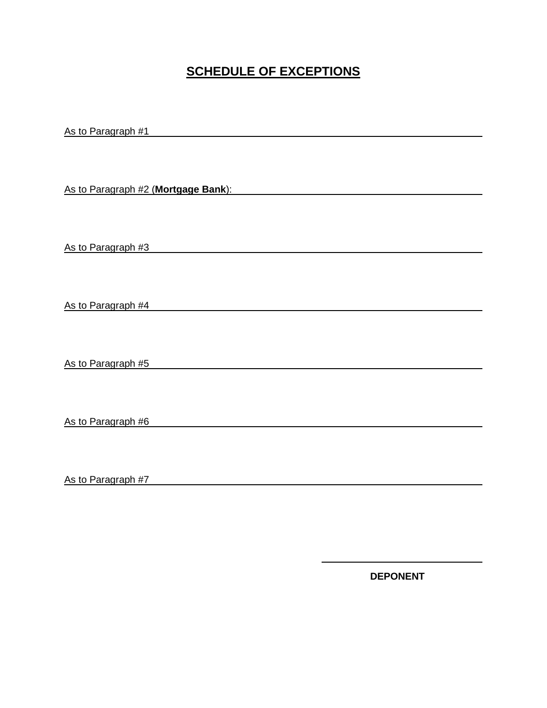## **SCHEDULE OF EXCEPTIONS**

As to Paragraph #1

As to Paragraph #2 (**Mortgage Bank**):

As to Paragraph #3

As to Paragraph #4

As to Paragraph #5

As to Paragraph #6

As to Paragraph #7

**DEPONENT**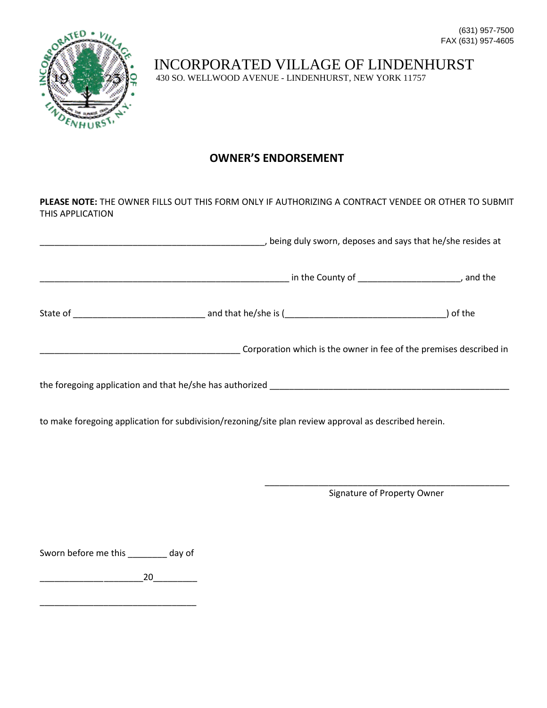(631) 957-7500 FAX (631) 957-4605



INCORPORATED VILLAGE OF LINDENHURST 430 SO. WELLWOOD AVENUE - LINDENHURST, NEW YORK 11757

## **OWNER'S ENDORSEMENT**

**PLEASE NOTE:** THE OWNER FILLS OUT THIS FORM ONLY IF AUTHORIZING A CONTRACT VENDEE OR OTHER TO SUBMIT THIS APPLICATION

|                                                                    | , being duly sworn, deposes and says that he/she resides at |
|--------------------------------------------------------------------|-------------------------------------------------------------|
|                                                                    | , and the                                                   |
|                                                                    | of the                                                      |
| Corporation which is the owner in fee of the premises described in |                                                             |
| the foregoing application and that he/she has authorized           |                                                             |

to make foregoing application for subdivision/rezoning/site plan review approval as described herein.

\_\_\_\_\_\_\_\_\_\_\_\_\_\_\_\_\_\_\_\_\_\_\_\_\_\_\_\_\_\_\_\_\_\_\_\_\_\_\_\_\_\_\_\_\_\_\_\_\_\_ Signature of Property Owner

Sworn before me this \_\_\_\_\_\_\_ day of

\_\_\_\_\_\_\_\_\_\_\_\_\_\_\_\_\_\_\_\_\_20\_\_\_\_\_\_\_\_\_

\_\_\_\_\_\_\_\_\_\_\_\_\_\_\_\_\_\_\_\_\_\_\_\_\_\_\_\_\_\_\_\_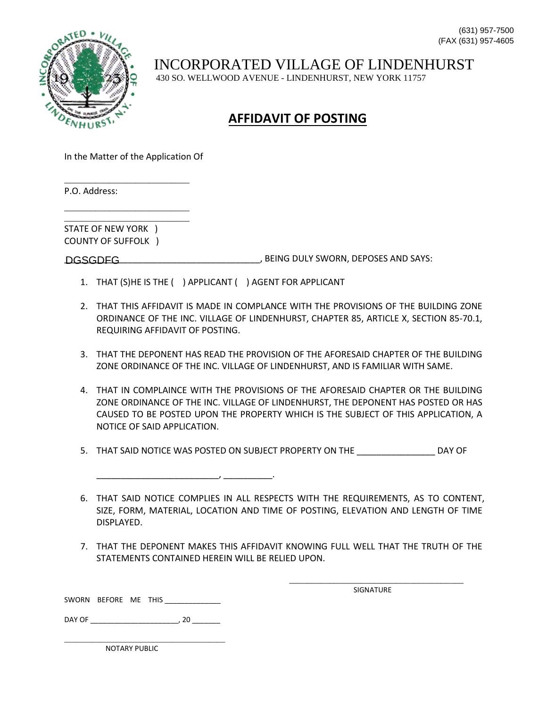

## **AFFIDAVIT OF POSTING**

In the Matter of the Application Of

\_\_\_\_\_\_\_\_\_\_\_\_\_\_\_\_\_\_\_\_\_\_\_\_\_\_\_\_

\_\_\_\_\_\_\_\_\_\_\_\_\_\_\_\_\_\_\_\_\_\_\_\_\_\_\_\_ \_\_\_\_\_\_\_\_\_\_\_\_\_\_\_\_\_\_\_\_\_\_\_\_\_\_\_\_

P.O. Address:

STATE OF NEW YORK ) COUNTY OF SUFFOLK )

DGSGDFG DERIVELY SWORN, DEPOSES AND SAYS:

1. THAT (S)HE IS THE ( ) APPLICANT ( ) AGENT FOR APPLICANT

 $\overline{\phantom{a}}$  ,  $\overline{\phantom{a}}$  ,  $\overline{\phantom{a}}$  ,  $\overline{\phantom{a}}$  ,  $\overline{\phantom{a}}$  ,  $\overline{\phantom{a}}$  ,  $\overline{\phantom{a}}$  ,  $\overline{\phantom{a}}$  ,  $\overline{\phantom{a}}$  ,  $\overline{\phantom{a}}$  ,  $\overline{\phantom{a}}$  ,  $\overline{\phantom{a}}$  ,  $\overline{\phantom{a}}$  ,  $\overline{\phantom{a}}$  ,  $\overline{\phantom{a}}$  ,  $\overline{\phantom{a}}$ 

- 2. THAT THIS AFFIDAVIT IS MADE IN COMPLANCE WITH THE PROVISIONS OF THE BUILDING ZONE ORDINANCE OF THE INC. VILLAGE OF LINDENHURST, CHAPTER 85, ARTICLE X, SECTION 85-70.1, REQUIRING AFFIDAVIT OF POSTING.
- 3. THAT THE DEPONENT HAS READ THE PROVISION OF THE AFORESAID CHAPTER OF THE BUILDING ZONE ORDINANCE OF THE INC. VILLAGE OF LINDENHURST, AND IS FAMILIAR WITH SAME.
- 4. THAT IN COMPLAINCE WITH THE PROVISIONS OF THE AFORESAID CHAPTER OR THE BUILDING ZONE ORDINANCE OF THE INC. VILLAGE OF LINDENHURST, THE DEPONENT HAS POSTED OR HAS CAUSED TO BE POSTED UPON THE PROPERTY WHICH IS THE SUBJECT OF THIS APPLICATION, A NOTICE OF SAID APPLICATION.
- 5. THAT SAID NOTICE WAS POSTED ON SUBJECT PROPERTY ON THE \_\_\_\_\_\_\_\_\_\_\_\_\_\_\_\_ DAY OF

6. THAT SAID NOTICE COMPLIES IN ALL RESPECTS WITH THE REQUIREMENTS, AS TO CONTENT, SIZE, FORM, MATERIAL, LOCATION AND TIME OF POSTING, ELEVATION AND LENGTH OF TIME DISPLAYED.

7. THAT THE DEPONENT MAKES THIS AFFIDAVIT KNOWING FULL WELL THAT THE TRUTH OF THE STATEMENTS CONTAINED HEREIN WILL BE RELIED UPON.

> \_\_\_\_\_\_\_\_\_\_\_\_\_\_\_\_\_\_\_\_\_\_\_\_\_\_\_\_\_\_\_\_\_\_\_\_\_\_\_ SIGNATURE

SWORN BEFORE ME THIS \_\_\_\_\_\_\_\_\_\_\_\_\_\_\_

DAY OF \_\_\_\_\_\_\_\_\_\_\_\_\_\_\_\_\_\_\_\_\_\_, 20 \_\_\_\_\_\_\_

\_\_\_\_\_\_\_\_\_\_\_\_\_\_\_\_\_\_\_\_\_\_\_\_\_\_\_\_\_\_\_\_\_\_\_\_\_\_\_\_

NOTARY PUBLIC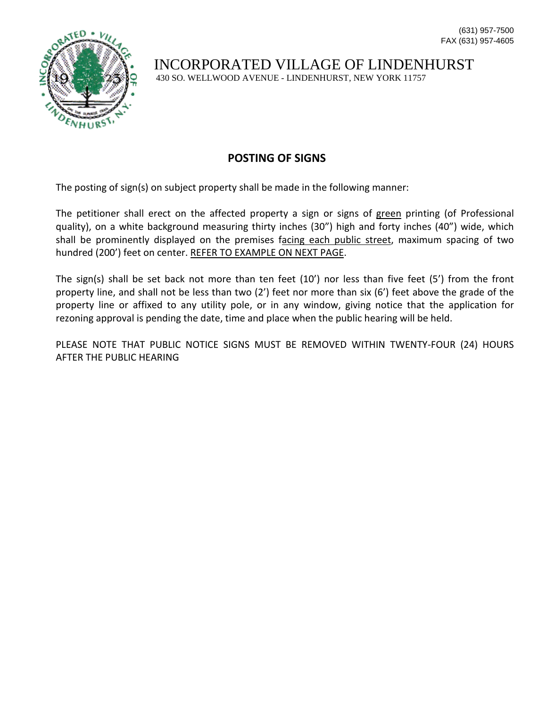

INCORPORATED VILLAGE OF LINDENHURST

430 SO. WELLWOOD AVENUE - LINDENHURST, NEW YORK 11757

#### **POSTING OF SIGNS**

The posting of sign(s) on subject property shall be made in the following manner:

The petitioner shall erect on the affected property a sign or signs of green printing (of Professional quality), on a white background measuring thirty inches (30") high and forty inches (40") wide, which shall be prominently displayed on the premises facing each public street, maximum spacing of two hundred (200') feet on center. REFER TO EXAMPLE ON NEXT PAGE.

The sign(s) shall be set back not more than ten feet  $(10')$  nor less than five feet  $(5')$  from the front property line, and shall not be less than two (2') feet nor more than six (6') feet above the grade of the property line or affixed to any utility pole, or in any window, giving notice that the application for rezoning approval is pending the date, time and place when the public hearing will be held.

PLEASE NOTE THAT PUBLIC NOTICE SIGNS MUST BE REMOVED WITHIN TWENTY-FOUR (24) HOURS AFTER THE PUBLIC HEARING